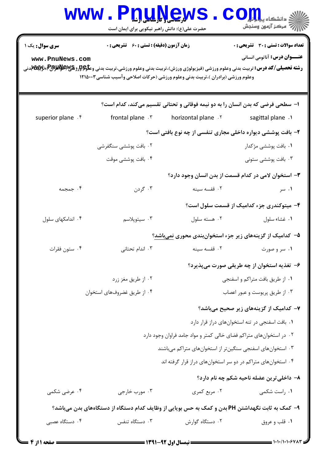|                                                                                                  | www.PnuŅews<br>حضرت علی(ع): دانش راهبر نیکویی برای ایمان است |                                                                                                                                                                                                                                   | ي<br>ي دانشڪاه پ <b>يا بالو</b> ر<br>أأزأته مركز آزمون وسنجش                        |  |
|--------------------------------------------------------------------------------------------------|--------------------------------------------------------------|-----------------------------------------------------------------------------------------------------------------------------------------------------------------------------------------------------------------------------------|-------------------------------------------------------------------------------------|--|
| <b>سری سوال :</b> یک ۱<br>www.PnuNews.com                                                        | <b>زمان آزمون (دقیقه) : تستی : 60 ٪ تشریحی : 0</b>           | <b>رشته تحصیلی/کد درس:</b> تربیت بدنی وعلوم ورزشی (فیزیولوژی ورزش)،تربیت بدنی وعلوم ورزشی،تربیت بدنی وع <del>لو\$Rرز RA&amp;وRU</del> متون توسی<br>وعلوم ورزشی (برادران )،تربیت بدنی وعلوم ورزشی (حرکات اصلاحی وآسیب شناسی۱۲۱۵۰۰۳ | <b>تعداد سوالات : تستی : 30 ٪ تشریحی : 0</b><br><b>عنـــوان درس:</b> آناتومی انسانی |  |
|                                                                                                  |                                                              | ا– سطحی فرضی که بدن انسان را به دو نیمه فوقانی و تحتانی تقسیم میکند، کدام است؟                                                                                                                                                    |                                                                                     |  |
| superior plane . f                                                                               | frontal plane . \v                                           | horizontal plane . Y                                                                                                                                                                                                              | sagittal plane .1                                                                   |  |
|                                                                                                  |                                                              | ۲- بافت پوششی دیواره داخلی مجاری تنفسی از چه نوع بافتی است؟                                                                                                                                                                       |                                                                                     |  |
|                                                                                                  | ۰۲ بافت پوششی سنگفرشی                                        |                                                                                                                                                                                                                                   | ۰۱ بافت پوششی مژکدار                                                                |  |
|                                                                                                  | ۰۴ بافت پوششی موقت                                           |                                                                                                                                                                                                                                   | ۰۳ بافت پوششی ستونی                                                                 |  |
|                                                                                                  |                                                              | ۳- استخوان لامی در کدام قسمت از بدن انسان وجود دارد؟                                                                                                                                                                              |                                                                                     |  |
| ۰۴ جمجمه                                                                                         | ۰۳ گردن                                                      | ۰۲ قفسه سينه                                                                                                                                                                                                                      | ۰۱ سر                                                                               |  |
|                                                                                                  |                                                              |                                                                                                                                                                                                                                   | ۴- میتوکندری جزء کدامیک از قسمت سلول است؟                                           |  |
| ۰۴ اندامکهای سلول                                                                                | ۰۳ سیتوپلاسم                                                 | ۰۲ هسته سلول                                                                                                                                                                                                                      | ٠١ غشاء سلول                                                                        |  |
|                                                                                                  |                                                              | ۵– کدامیک از گزینههای زیر جزء استخوانبندی محوری نمیباشد؟                                                                                                                                                                          |                                                                                     |  |
| ۰۴ ستون فقرات                                                                                    | ۰۳ اندام تحتانی                                              | ۰۲ قفسه سینه                                                                                                                                                                                                                      | ۰۱ سر و صورت                                                                        |  |
|                                                                                                  |                                                              |                                                                                                                                                                                                                                   | ۶- تغذیه استخوان از چه طریقی صورت میپذیرد؟                                          |  |
|                                                                                                  | ۰۲ از طریق مغز زرد                                           |                                                                                                                                                                                                                                   | ٠١ از طريق بافت متراكم و اسفنجى                                                     |  |
| ۰۴ از طریق غضروفهای استخوان                                                                      |                                                              |                                                                                                                                                                                                                                   | ۰۳ از طریق پریوست و عبور اعصاب                                                      |  |
|                                                                                                  |                                                              |                                                                                                                                                                                                                                   | ۷– کدامیک از گزینههای زیر صحیح میباشد؟                                              |  |
|                                                                                                  |                                                              |                                                                                                                                                                                                                                   | ٠. بافت اسفنجي در تنه استخوانهاي دراز قرار دارد                                     |  |
|                                                                                                  |                                                              | ۰۲ در استخوانهای متراکم فضای خالی کمتر و مواد جامد فراوان وجود دارد                                                                                                                                                               |                                                                                     |  |
|                                                                                                  | ۰۳ استخوانهای اسفنجی سنگینتر از استخوانهای متراکم میباشند    |                                                                                                                                                                                                                                   |                                                                                     |  |
|                                                                                                  |                                                              | ۰۴ استخوانهای متراکم در دو سر استخوانهای دراز قرار گرفته اند                                                                                                                                                                      |                                                                                     |  |
|                                                                                                  |                                                              |                                                                                                                                                                                                                                   | ٨- داخلي ترين عضله ناحيه شكم چه نام دارد؟                                           |  |
| ۰۴ عرضی شکمی                                                                                     | ۰۳ مورب خارجي                                                | ۰۲ مربع کمری                                                                                                                                                                                                                      | ۰۱ راست شکمی                                                                        |  |
| ۹–  کمک به ثابت نگهداشتن PH بدن و کمک به حس بویایی از وظایف کدام دستگاه از دستگاههای بدن میباشد؟ |                                                              |                                                                                                                                                                                                                                   |                                                                                     |  |
| ۰۴ دستگاه عصبی                                                                                   | ۰۳ دستگاه تنفس                                               | ۰۲ دستگاه گوارش                                                                                                                                                                                                                   | ۰۱ قلب و عروق                                                                       |  |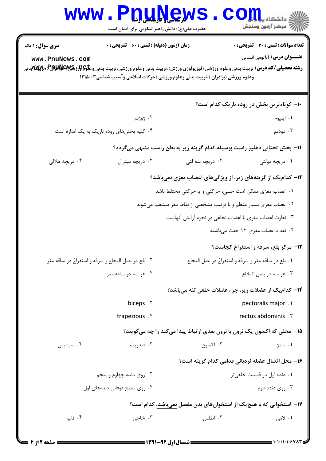|                                                                                                                                                                                                                                                                                                                                                                                                                 | www.Pnunew<br>حضرت علی(ع): دانش راهبر نیکویی برای ایمان است        |                                                                                 | د دانشگاه پ <mark>یای</mark> <mark>؛</mark><br>ے<br>7- مرکز آزمون وسنجش |  |  |
|-----------------------------------------------------------------------------------------------------------------------------------------------------------------------------------------------------------------------------------------------------------------------------------------------------------------------------------------------------------------------------------------------------------------|--------------------------------------------------------------------|---------------------------------------------------------------------------------|-------------------------------------------------------------------------|--|--|
| <b>تعداد سوالات : تستي : 30 - تشريحي : 0</b><br><b>زمان آزمون (دقیقه) : تستی : 60 ٪ تشریحی : 0</b><br>سری سوال: ۱ یک<br><b>عنـــوان درس:</b> آناتومی انسانی<br>www.PnuNews.com<br><b>رشته تحصیلی/کد درس:</b> تربیت بدنی وعلوم ورزشی (فیزیولوژی ورزش)،تربیت بدنی وعلوم ورزشی،تربیت بدنی وع <del>لو\$Rرز RAS والایمM</del> یترنی<br>وعلوم ورزشی (برادران )،تربیت بدنی وعلوم ورزشی (حرکات اصلاحی وآسیب شناسی۲۱۵۰۰۳ |                                                                    |                                                                                 |                                                                         |  |  |
|                                                                                                                                                                                                                                                                                                                                                                                                                 |                                                                    |                                                                                 | ۱۰– کوتاهترین بخش در روده باریک کدام است؟                               |  |  |
|                                                                                                                                                                                                                                                                                                                                                                                                                 | ۰۲ ژوژنم                                                           |                                                                                 | ۰۱ ايليوم                                                               |  |  |
|                                                                                                                                                                                                                                                                                                                                                                                                                 | ۰۴ کلیه بخشهای روده باریک به یک اندازه است                         |                                                                                 | ۰۳ دودنم                                                                |  |  |
| 11- بخش تحتانی دهلیز راست بوسیله کدام گزینه زیر به بطن راست منتهی میگردد؟                                                                                                                                                                                                                                                                                                                                       |                                                                    |                                                                                 |                                                                         |  |  |
| ۰۴ دریچه هلالی                                                                                                                                                                                                                                                                                                                                                                                                  | ۰۳ دریچه میترال                                                    | ۰۲ دریچه سه لتی                                                                 | ۰۱ دریچه دولتی                                                          |  |  |
|                                                                                                                                                                                                                                                                                                                                                                                                                 |                                                                    | <b>۱۲</b> - کدامیک از گزینههای زیر، از ویژگیهای اعصاب مغزی <u>نمیباشد</u> ؟     |                                                                         |  |  |
|                                                                                                                                                                                                                                                                                                                                                                                                                 |                                                                    | ۰۱ اعصاب مغزی ممکن است حسی، حرکتی و یا حرکتی مختلط باشد                         |                                                                         |  |  |
|                                                                                                                                                                                                                                                                                                                                                                                                                 | ۰۲ اعصاب مغزی بسیار منظم و با ترتیب مشخصی از نقاط مغز منشعب میشوند |                                                                                 |                                                                         |  |  |
|                                                                                                                                                                                                                                                                                                                                                                                                                 | ۰۳ تفاوت اعصاب مغزی با اعصاب نخاعی در نحوه آرایش آنهاست            |                                                                                 |                                                                         |  |  |
|                                                                                                                                                                                                                                                                                                                                                                                                                 |                                                                    |                                                                                 | ۰۴ تعداد اعصاب مغزی ۱۲ جفت میباشند                                      |  |  |
|                                                                                                                                                                                                                                                                                                                                                                                                                 |                                                                    |                                                                                 | <b>۱۳</b> - مرکز بلع، سرفه و استفراغ کجاست؟                             |  |  |
| ٠٢ بلع در بصل النخاع و سرفه و استفراغ در ساقه مغز                                                                                                                                                                                                                                                                                                                                                               |                                                                    | ٠١. بلع در ساقه مغز و سرفه و استفراغ در بصل النخاع                              |                                                                         |  |  |
| ۰۴ هر سه در ساقه مغز                                                                                                                                                                                                                                                                                                                                                                                            |                                                                    | ۰۳ هر سه در بصل النخاع                                                          |                                                                         |  |  |
|                                                                                                                                                                                                                                                                                                                                                                                                                 |                                                                    | ۱۴- کدامیک از عضلات زیر، جزء عضلات خلفی تنه میباشد؟                             |                                                                         |  |  |
|                                                                                                                                                                                                                                                                                                                                                                                                                 | biceps . Y                                                         |                                                                                 | pectoralis major .1                                                     |  |  |
| trapezious . f                                                                                                                                                                                                                                                                                                                                                                                                  |                                                                    |                                                                                 | rectus abdominis . ٣                                                    |  |  |
|                                                                                                                                                                                                                                                                                                                                                                                                                 |                                                                    | <b>۱۵</b> - محلی که اکسون یک نرون با نرون بعدی ارتباط پیدا میکند را چه میگویند؟ |                                                                         |  |  |
| ۰۴ سيناپس                                                                                                                                                                                                                                                                                                                                                                                                       | ۰۳ دندریت                                                          | ۰۲ اکسون                                                                        | ۰۱ مننژ                                                                 |  |  |
|                                                                                                                                                                                                                                                                                                                                                                                                                 |                                                                    |                                                                                 | ۱۶– محل اتصال عضله نردبانی قدامی کدام گزینه است؟                        |  |  |
|                                                                                                                                                                                                                                                                                                                                                                                                                 | ۰۲ روی دنده چهارم و پنجم                                           |                                                                                 | ۰۱ دنده اول در قسمت خلفی تر                                             |  |  |
|                                                                                                                                                                                                                                                                                                                                                                                                                 | ۰۴ روی سطح فوقانی دندههای اول                                      |                                                                                 | ۰۳ روی دنده دوم                                                         |  |  |
| ۱۷– استخوانی که با هیچیک از استخوانهای بدن مفصل نمیباشد، کدام است؟                                                                                                                                                                                                                                                                                                                                              |                                                                    |                                                                                 |                                                                         |  |  |
| ۰۴ قاپ                                                                                                                                                                                                                                                                                                                                                                                                          | ۰۳ خاجي                                                            | ۰۲ اطلس                                                                         | <b>۱.</b> لامی                                                          |  |  |
|                                                                                                                                                                                                                                                                                                                                                                                                                 |                                                                    |                                                                                 |                                                                         |  |  |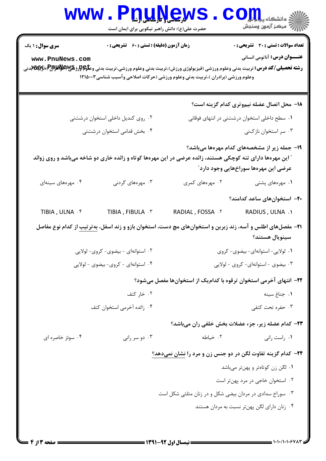| <b>WWW.</b>                                                                                                                                                                                                | <b>Pnullews</b><br>حضرت علی(ع): دانش راهبر نیکویی برای ایمان است                                                              |                  | ڪ دانشڪاه پ <b>يا ۾ لور</b><br>ا∛ مرکز آزمون وسنجش                                                                                         |  |
|------------------------------------------------------------------------------------------------------------------------------------------------------------------------------------------------------------|-------------------------------------------------------------------------------------------------------------------------------|------------------|--------------------------------------------------------------------------------------------------------------------------------------------|--|
| <b>سری سوال : ۱ یک</b><br>www.PnuNews.com<br><b>رشته تحصیلی/کد درس:</b> تربیت بدنی وعلوم ورزشی (فیزیولوژی ورزش)،تربیت بدنی وعلوم ورزشی،تربیت بدنی وع <del>لو\$Rرز RAS والایم</del> الالي توليدني           | زمان آزمون (دقیقه) : تستی : 60 ٪ تشریحی : 0<br>وعلوم ورزشی (برادران )،تربیت بدنی وعلوم ورزشی (حرکات اصلاحی وآسیب شناسی۱۲۱۵۰۰۳ |                  | <b>تعداد سوالات : تستی : 30 ٪ تشریحی : 0</b><br><b>عنـــوان درس:</b> آناتومی انسانی                                                        |  |
|                                                                                                                                                                                                            |                                                                                                                               |                  | 18- محل اتصال عضله نیموتری کدام گزینه است؟                                                                                                 |  |
|                                                                                                                                                                                                            | ۰۲ روی کندیل داخلی استخوان درشتنی                                                                                             |                  | ۰۱ سطح داخلی استخوان درشتنی در انتهای فوقانی                                                                                               |  |
| ۰۴ بخش قدامی استخوان درشتنی                                                                                                                                                                                |                                                                                                                               |                  | ۰۳ سر استخوان نازکنی                                                                                                                       |  |
| ۱۹- جمله زیر از مشخصههای کدام مهرهها میباشد؟<br><b>" این مهرهها دارای تنه کوچکی هستند،</b> زائده عرضی در این مهرهها کوتاه و زائده خاری دو شاخه میباشد و روی زوائد<br>عرضی این مهرهها سوراخهایی وجود دارد ؒ |                                                                                                                               |                  |                                                                                                                                            |  |
| ۰۴ مهرههای سینهای                                                                                                                                                                                          | ۰۳ مهرههای گردنی                                                                                                              | ۰۲ مهرههای کمری  | ۰۱ مهرههای پشتی                                                                                                                            |  |
|                                                                                                                                                                                                            |                                                                                                                               |                  | ۲۰– استخوانهای ساعد کدامند؟                                                                                                                |  |
| TIBIA, ULNA . ۴                                                                                                                                                                                            | TIBIA, FIBULA . ٣                                                                                                             | RADIAL, FOSSA .Y | RADIUS, ULNA .1                                                                                                                            |  |
|                                                                                                                                                                                                            |                                                                                                                               |                  | <b>۳۱</b> – مفصلهای اطلس و آسه، زند زبرین و استخوانهای مچ دست، استخوان بازو و زند اسفل، <u>بهترتیب</u> از کدام نوع مفاصل<br>سينويال هستند؟ |  |
| ۰۲ استوانهای - بیضوی- کروی- لولایی                                                                                                                                                                         |                                                                                                                               |                  | ٠١ لولايي- استوانهاي- بيضوي- كروى                                                                                                          |  |
|                                                                                                                                                                                                            | ۰۳ بیضوی - استوانهای- کروی - لولایی<br>۰۴ استوانهای - کروی- بیضوی - لولایی                                                    |                  |                                                                                                                                            |  |
| ۲۲– انتهای آخرمی استخوان ترقوه با کدامیک از استخوانها مفصل میشود؟                                                                                                                                          |                                                                                                                               |                  |                                                                                                                                            |  |
|                                                                                                                                                                                                            | ۰۲ خار کتف                                                                                                                    |                  | ۰۱ جناغ سينه                                                                                                                               |  |
|                                                                                                                                                                                                            | ۰۴ زائده آخرمی استخوان کتف                                                                                                    |                  | ۰۳ حفره تحت کتفی                                                                                                                           |  |
|                                                                                                                                                                                                            |                                                                                                                               |                  | ۲۳- کدام عضله زیر، جزء عضلات بخش خلفی ران میباشد؟                                                                                          |  |
| ۰۴ سوئز خاصره ای                                                                                                                                                                                           | ۰۳ دو سر رانی                                                                                                                 | ۰۲ خیاطه         | ۰۱ راست رانی                                                                                                                               |  |
|                                                                                                                                                                                                            |                                                                                                                               |                  | <b>۳۴</b> - کدام گزینه تفاوت لگن در دو جنس زن و مرد را <u>نشان نمی</u> دهد؟                                                                |  |
|                                                                                                                                                                                                            |                                                                                                                               |                  | ٠١ لگن زن كوتاهتر و پهنتر مى باشد                                                                                                          |  |
|                                                                                                                                                                                                            |                                                                                                                               |                  | ۰۲ استخوان خاجی در مرد پهنتر است                                                                                                           |  |
| ۰۳ سوراخ سدادی در مردان بیضی شکل و در زنان مثلثی شکل است                                                                                                                                                   |                                                                                                                               |                  |                                                                                                                                            |  |
|                                                                                                                                                                                                            |                                                                                                                               |                  | ۰۴ زنان دارای لگن پهنتر نسبت به مردان هستند                                                                                                |  |
|                                                                                                                                                                                                            |                                                                                                                               |                  |                                                                                                                                            |  |